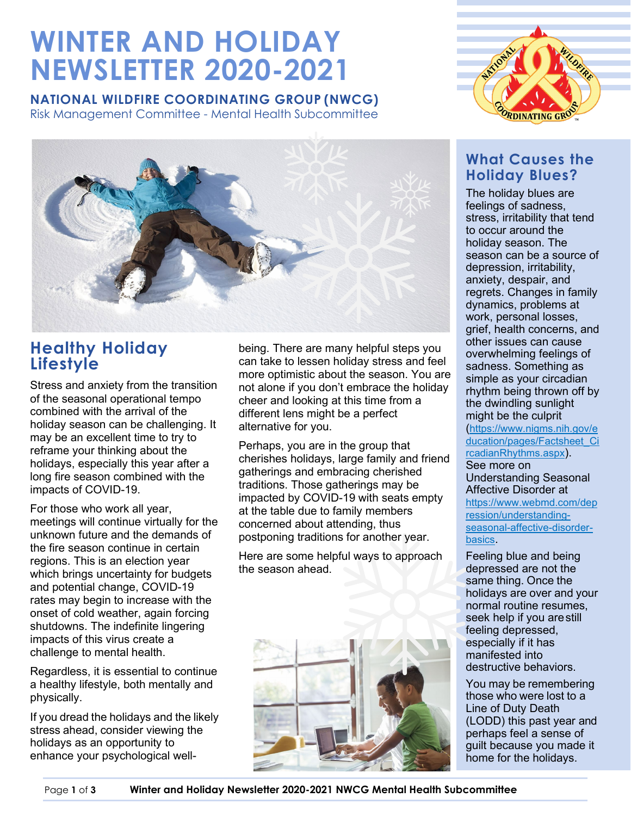# **WINTER AND HOLIDAY NEWSLETTER 2020-2021**

### **NATIONAL WILDFIRE COORDINATING GROUP (NWCG)**

Risk Management Committee - Mental Health Subcommittee



### **Healthy Holiday Lifestyle**

Stress and anxiety from the transition of the seasonal operational tempo combined with the arrival of the holiday season can be challenging. It may be an excellent time to try to reframe your thinking about the holidays, especially this year after a long fire season combined with the impacts of COVID-19.

For those who work all year, meetings will continue virtually for the unknown future and the demands of the fire season continue in certain regions. This is an election year which brings uncertainty for budgets and potential change, COVID-19 rates may begin to increase with the onset of cold weather, again forcing shutdowns. The indefinite lingering impacts of this virus create a challenge to mental health.

Regardless, it is essential to continue a healthy lifestyle, both mentally and physically.

If you dread the holidays and the likely stress ahead, consider viewing the holidays as an opportunity to enhance your psychological wellbeing. There are many helpful steps you can take to lessen holiday stress and feel more optimistic about the season. You are not alone if you don't embrace the holiday cheer and looking at this time from a different lens might be a perfect alternative for you.

Perhaps, you are in the group that cherishes holidays, large family and friend gatherings and embracing cherished traditions. Those gatherings may be impacted by COVID-19 with seats empty at the table due to family members concerned about attending, thus postponing traditions for another year.

Here are some helpful ways to approach the season ahead.





### **What Causes the Holiday Blues?**

The holiday blues are feelings of sadness, stress, irritability that tend to occur around the holiday season. The season can be a source of depression, irritability, anxiety, despair, and regrets. Changes in family dynamics, problems at work, personal losses, grief, health concerns, and other issues can cause overwhelming feelings of sadness. Something as simple as your [circadian](https://www.nigms.nih.gov/education/pages/Factsheet_CircadianRhythms.aspx)  [rhythm](https://www.nigms.nih.gov/education/pages/Factsheet_CircadianRhythms.aspx) being thrown off by the dwindling sunlight might be the culprit

[\(https://www.nigms.nih.gov/e](https://www.nigms.nih.gov/education/pages/Factsheet_CircadianRhythms.aspx) [ducation/pages/Factsheet\\_Ci](https://www.nigms.nih.gov/education/pages/Factsheet_CircadianRhythms.aspx) [rcadianRhythms.aspx\)](https://www.nigms.nih.gov/education/pages/Factsheet_CircadianRhythms.aspx). See more on Understanding Seasonal

Affective Disorder at [https://www.webmd.com/dep](https://www.webmd.com/depression/understanding-seasonal-affective-disorder-basics) [ression/understanding](https://www.webmd.com/depression/understanding-seasonal-affective-disorder-basics)[seasonal-affective-disorder](https://www.webmd.com/depression/understanding-seasonal-affective-disorder-basics)[basics.](https://www.webmd.com/depression/understanding-seasonal-affective-disorder-basics)

Feeling blue and being depressed are not the same thing. Once the holidays are over and your normal routine resumes, seek help if you arestill feeling depressed, especially if it has manifested into destructive behaviors.

You may be remembering those who were lost to a Line of Duty Death (LODD) this past year and perhaps feel a sense of guilt because you made it home for the holidays.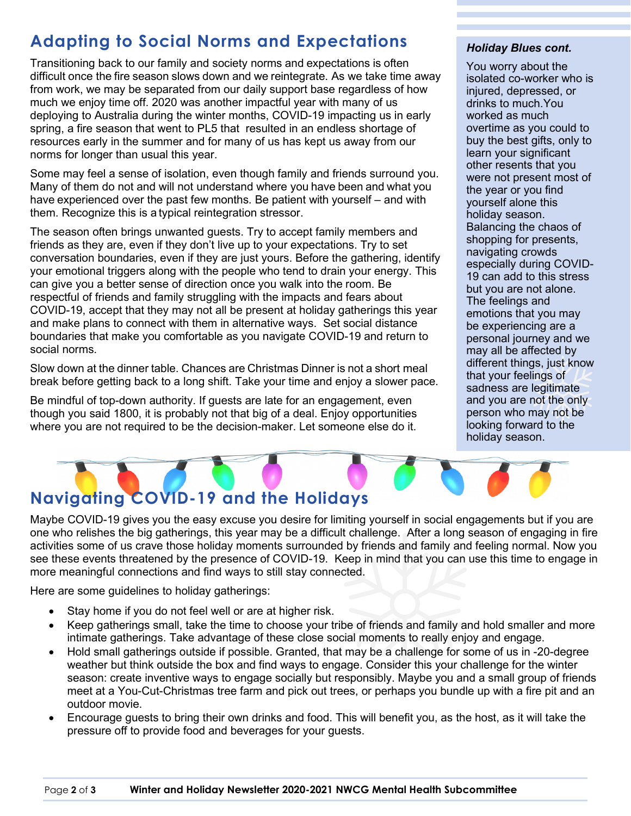## **Adapting to Social Norms and Expectations**

Transitioning back to our family and society norms and expectations is often difficult once the fire season slows down and we reintegrate. As we take time away from work, we may be separated from our daily support base regardless of how much we enjoy time off. 2020 was another impactful year with many of us deploying to Australia during the winter months, COVID-19 impacting us in early spring, a fire season that went to PL5 that resulted in an endless shortage of resources early in the summer and for many of us has kept us away from our norms for longer than usual this year.

Some may feel a sense of isolation, even though family and friends surround you. Many of them do not and will not understand where you have been and what you have experienced over the past few months. Be patient with yourself – and with them. Recognize this is a typical reintegration stressor.

The season often brings unwanted guests. Try to accept family members and friends as they are, even if they don't live up to your expectations. Try to set conversation boundaries, even if they are just yours. Before the gathering, identify your emotional triggers along with the people who tend to drain your energy. This can give you a better sense of direction once you walk into the room. Be respectful of friends and family struggling with the impacts and fears about COVID-19, accept that they may not all be present at holiday gatherings this year and make plans to connect with them in alternative ways. Set social distance boundaries that make you comfortable as you navigate COVID-19 and return to social norms.

Slow down at the dinner table. Chances are Christmas Dinner is not a short meal break before getting back to a long shift. Take your time and enjoy a slower pace.

Be mindful of top-down authority. If guests are late for an engagement, even though you said 1800, it is probably not that big of a deal. Enjoy opportunities where you are not required to be the decision-maker. Let someone else do it.

#### *Holiday Blues cont.*

You worry about the isolated co-worker who is injured, depressed, or drinks to much.You worked as much overtime as you could to buy the best gifts, only to learn your significant other resents that you were not present most of the year or you find yourself alone this holiday season. Balancing the chaos of shopping for presents, navigating crowds especially during COVID-19 can add to this stress but you are not alone. The feelings and emotions that you may be experiencing are a personal journey and we may all be affected by different things, just know that your feelings of sadness are legitimate and you are not the only person who may not be looking forward to the holiday season.

# **Navigating COVID-19 and the Holidays**

Maybe COVID-19 gives you the easy excuse you desire for limiting yourself in social engagements but if you are one who relishes the big gatherings, this year may be a difficult challenge. After a long season of engaging in fire activities some of us crave those holiday moments surrounded by friends and family and feeling normal. Now you see these events threatened by the presence of COVID-19. Keep in mind that you can use this time to engage in more meaningful connections and find ways to still stay connected.

Here are some guidelines to holiday gatherings:

- Stay home if you do not feel well or are at higher risk.
- Keep gatherings small, take the time to choose your tribe of friends and family and hold smaller and more intimate gatherings. Take advantage of these close social moments to really enjoy and engage.
- Hold small gatherings outside if possible. Granted, that may be a challenge for some of us in -20-degree weather but think outside the box and find ways to engage. Consider this your challenge for the winter season: create inventive ways to engage socially but responsibly. Maybe you and a small group of friends meet at a You-Cut-Christmas tree farm and pick out trees, or perhaps you bundle up with a fire pit and an outdoor movie.
- Encourage guests to bring their own drinks and food. This will benefit you, as the host, as it will take the pressure off to provide food and beverages for your guests.